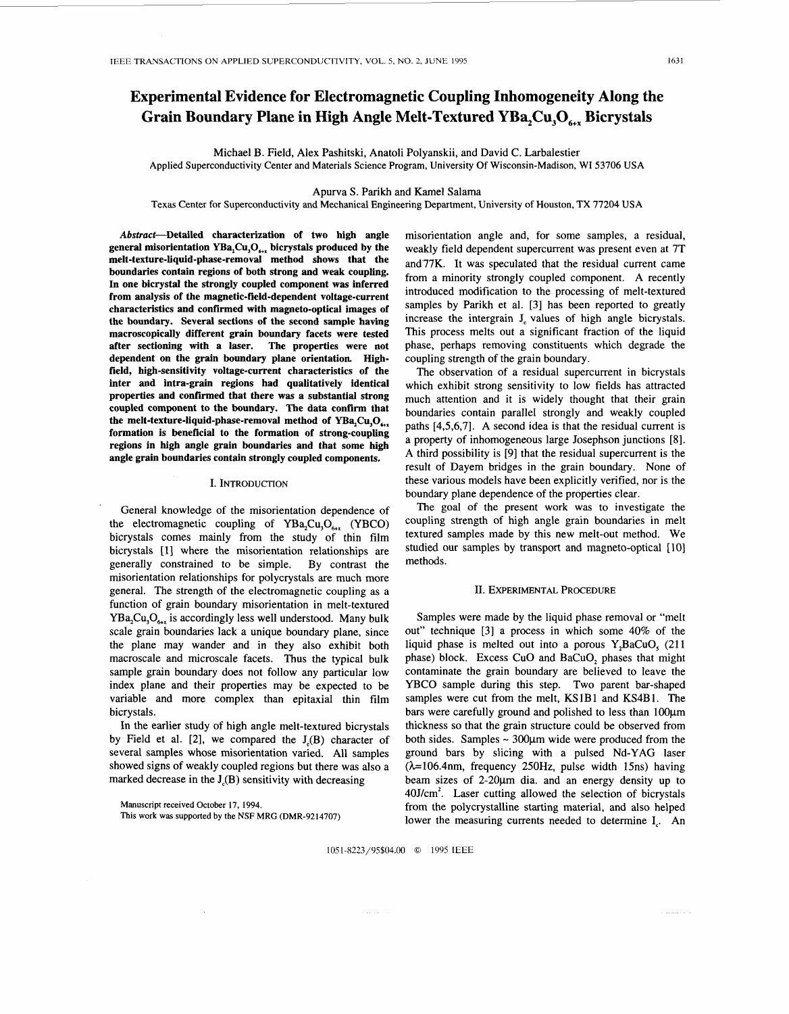# **Experimental Evidence for Electromagnetic Coupling Inhomogeneity Along the Grain Boundary Plane in High Angle Melt-Textured YBa,Cu,O,, Bicrystals**

Michael **B.** Field, Alex Pashitski, Anatoli Polyanskii, and David C. Larbalestier Applied Superconductivity Center and Materials Science Program, University **Of** Wisconsin-Madison, WI 53706 USA

#### Apurva **S.** Parikh and Kame1 Salama

Texas Center **for** Superconductivity and Mechanical Engineering Department, University of **Houston, TX 77204** USA

**Abstract-Detailed characterization of two high angle general misorientation YBa,Cu,O,, bicrystals produced by the melt-texture-liquid-phase-removal method shows that the boundaries contain regions of both strong and weak coupling. In one bicrystal the strongly coupled component was inferred from analysis of the magnetic-field-dependent voltage-current characteristics and confirmed with magneto-optical images of the boundary. Several sections of the second sample having macroscopically different grain boundary facets were tested after sectioning with a laser. The properties were not dependent on the grain boundary plane orientation Highfield, high-sensitivity voltage-current characteristics of the inter and intra-grain regions had qualitatively identical properties and confirmed that there was a substantial strong coupled component to the boundary. The data confirm that**  the melt-texture-liquid-phase-removal method of  $YBa<sub>2</sub>Cu<sub>3</sub>O<sub>4x</sub>$ **formation is beneficial to the formation of strong-coupling regions in high angle grain boundaries and that some high angle grain boundaries contain strongly coupled components.** 

### I. INTRODUCTION

.

General knowledge of the misorientation dependence of the electromagnetic coupling of  $YBa<sub>2</sub>Cu<sub>3</sub>O<sub>6+x</sub>$  (YBCO) bicrystals comes mainly from the study of thin film bicrystals [1] where the misorientation relationships are generally constrained to be simple. By contrast the misorientation relationships for polycrystals are much more general. The strength of the electromagnetic coupling as a function of grain boundary misorientation in melt-textured  $YBa, Cu, O_{\mu\nu}$  is accordingly less well understood. Many bulk scale grain boundaries lack a unique boundary plane, since the plane may wander and in they also exhibit both macroscale and microscale facets. Thus the typical bulk sample grain boundary does not follow any particular low index plane and their properties may be expected to be variable and more complex than epitaxial thin film bicrystals.

In the earlier study of high angle melt-textured bicrystals by Field et al.  $[2]$ , we compared the  $J<sub>c</sub>(B)$  character of several samples whose misorientation varied. All samples showed signs of weakly coupled regions but there was also a marked decrease in the  $J<sub>c</sub>(B)$  sensitivity with decreasing

Manuscript received October **17,** 1994.

**This work was** supported by the NSF MRG (DMR-9214707)

misorientation angle and, for some samples, a residual, weakly field dependent supercurrent was present even at 7T and77K. It was speculated that the residual current came from a minority strongly coupled component. A recently introduced modification to the processing of melt-textured samples by Parikh et al. [3] has been reported to greatly increase the intergrain J, values of high angle bicrystals. This process melts out a significant fraction of the liquid phase, perhaps removing constituents which degrade the coupling strength of the grain boundary.

The observation of a residual supercurrent in bicrystals which exhibit strong sensitivity to low fields has attracted much attention and it is widely thought that their grain boundaries contain parallel strongly and weakly coupled paths [4,5,6,7]. A second idea is that the residual current is a property of inhomogeneous large Josephson junctions [8]. A third possibility is [9] that the residual supercurrent is the result of Dayem bridges in the grain boundary. None of these various models have been explicitly verified, nor is the boundary plane dependence of the properties clear.

The goal of the present work was to investigate the coupling strength of high angle grain boundaries in melt textured samples made by this new melt-out method. We studied our samples by transport and magneto-optical [10] methods.

## II. EXPERIMENTAL PROCEDURE

Samples were made by the liquid phase removal or "melt out" technique [3] a process in which some 40% of the liquid phase is melted out into a porous Y,BaCuO, (211 phase) block. Excess CuO and BaCuO<sub>2</sub> phases that might contaminate the grain boundary are believed to leave the YBCO sample during this step. Two parent bar-shaped samples were cut from the melt, KSlBl and KS4B1. The bars were carefully ground and polished to less than 100um thickness so that the grain structure could be observed from both sides. Samples  $\sim$  300 $\mu$ m wide were produced from the ground bars by slicing with a pulsed Nd-YAG laser  $(\lambda=106.4$ nm, frequency 250Hz, pulse width 15ns) having beam sizes of 2-20µm dia. and an energy density up to  $40$ J/cm<sup>2</sup>. Laser cutting allowed the selection of bicrystals from the polycrystalline starting material, and also helped lower the measuring currents needed to determine I<sub>,</sub>. An

1051-8223/95\$04.00 *0* 1995 IEEE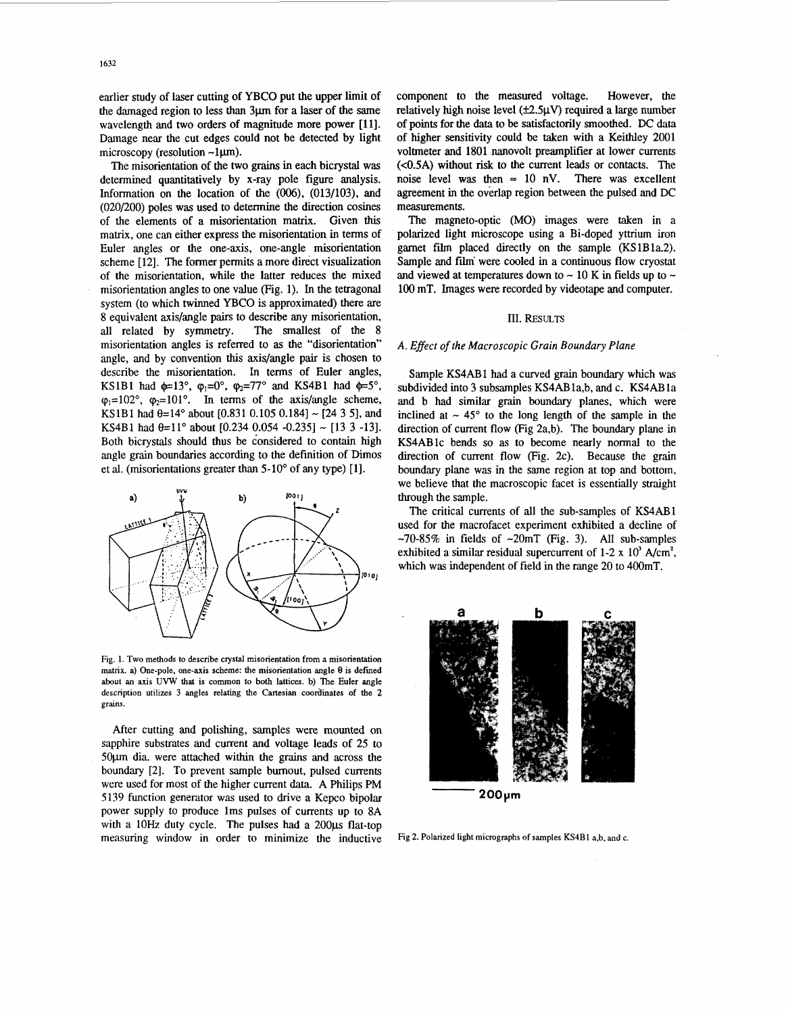earlier study of laser cutting of YBCO put the upper limit of the damaged region to less than 3µm for a laser of the same wavelength and two orders of magnitude more power [11]. Damage near the cut edges could not be detected by light microscopy (resolution  $\neg$ 1 $\mu$ m).

The misorientation of the two grains in each bicrystal was determined quantitatively by x-ray pole figure analysis. Information on the location of the *(006),* (013/103), and (020/200) poles was used to determine the direction cosines of the elements of a misorientation matrix. Given this matrix, one can either express the misorientation in terms of Euler angles or the one-axis, one-angle misorientation scheme [ 121. The former permits a more direct visualization of the misorientation, while the latter reduces the mixed misorientation angles to one value (Fig. 1). In the tetragonal system (to which twinned YBCO is approximated) there are 8 equivalent axis/angle pairs to describe any misorientation, all related by symmetry. The smallest of the 8 misorientation angles is referred to **as** the "disorientation" angle, and by convention this axis/angle pair is chosen to describe the misorientation. In terms of Euler angles, KS1B1 had  $\phi=13^{\circ}$ ,  $\phi_1=0^{\circ}$ ,  $\phi_2=77^{\circ}$  and KS4B1 had  $\phi=5^{\circ}$ ,  $\varphi_1=102^\circ$ ,  $\varphi_2=101^\circ$ . In terms of the axis/angle scheme, KS1B1 had  $\theta$ =14° about [0.831 0.105 0.184] ~ [24 3 5], and KS4B1 had  $\theta = 11^{\circ}$  about [0.234 0.054 -0.235] ~ [13 3 -13]. Both bicrystals should thus be c'onsidered to contain high angle grain boundaries according to the definition of Dimos et al. (misorientations greater than 5-10' of any type) [l].



**Fig. 1. Two methods to describe crystal misorientation from a misorientation matrix. a) One-pole. one-axis scheme: the misorientation angle 0 is defined about an axis UVW that is common to both lattices. b) The Euler angle description utilizes 3 angles relating the Cartesian coordinates of the 2 grains.** 

After cutting and polishing, samples were mounted on sapphire substrates and current and voltage leads of 25 to 50pm dia. were attached within the grains and across the boundary [2]. To prevent sample burnout, pulsed currents were used for most of the higher current data. A Philips PM 5139 function generator was used to drive a Kepco bipolar power **supply** *to* produce lms pulses of currents up to 8A with a 10Hz duty cycle. The pulses had a 200µs flat-top measuring window in order to minimize the inductive component to the measured voltage. However, the relatively high noise level ( $\pm 2.5 \mu V$ ) required a large number of points for the data to be satisfactorily smoothed. DC data of higher sensitivity could be taken with a Keithley 2001 voltmeter and 1801 nanovolt preamplifier at lower currents **(<0.5A)** without **risk** to the current leads or contacts. The noise level was then  $\approx 10$  nV. There was excellent agreement in the overlap region between the pulsed and DC measurements.

The magneto-optic (MO) images were taken in a polarized light microscope using a Bi-doped yttrium iron garnet film placed directly on the sample (KSlBla.2). Sample and film' were cooled in a continuous flow cryostat and viewed at temperatures down to  $\sim$  10 K in fields up to  $\sim$ 100 mT. Images were recorded by videotape and computer.

#### III. RESULTS

## *A. Effect of the Macroscopic Grain Boundary Plane*

Sample KS4AB1 had a curved grain boundary which was subdivided into 3 subsamples KS4AB1a,b, and c. KS4AB1a and b had similar grain boundary planes, which were inclined at  $\sim$  45 $^{\circ}$  to the long length of the sample in the direction of current **flow** (Fig 2a,b). The boundary plane in KS4ABlc bends so **as to** become nearly normal to the direction of current flow (Fig. 2c). Because the grain boundary plane was in the same region at top and bottom, we believe that the macroscopic facet is essentially straight through the sample.

The critical currents of all the sub-samples of KS4AB1 used for the macrofacet experiment exhibited a decline of  $-70-85\%$  in fields of  $-20mT$  (Fig. 3). All sub-samples exhibited a similar residual supercurrent of 1-2 x  $10<sup>3</sup>$  A/cm<sup>2</sup>, which was independent of field in the range 20 to 400mT.



**200pm** 

Fig 2. Polarized light micrographs of samples KS4B1 a,b, and c.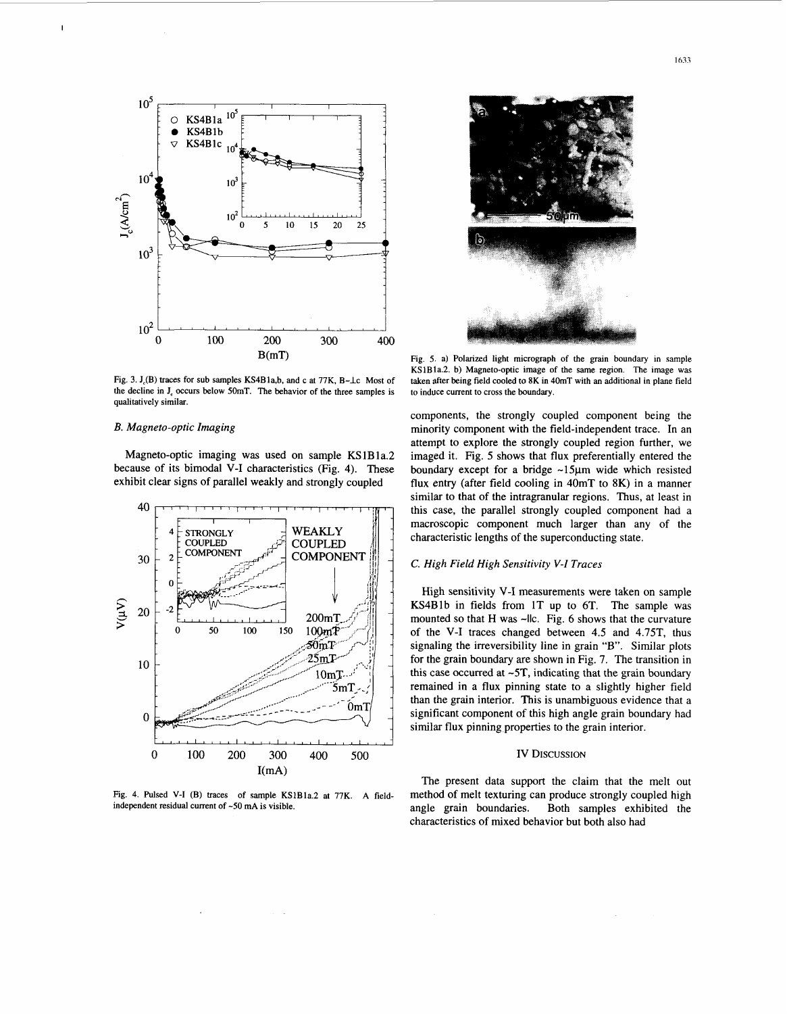

Fig. 3. J<sub>c</sub>(B) traces for sub samples KS4Bla,b, and c at 77K, B- $\perp$ c Most of **the decline in J, occurs below 50mT. The behavior of the three samples is qualitatively similar.** 

# *B. Magneto-optic Imaging*

**I** 

Magneto-optic imaging was used on sample KS1B1a.2 because of its bimodal V-I characteristics (Fig. 4). These exhibit clear signs of parallel weakly and strongly coupled



Fig. 4. Pulsed V-I (B) traces of sample KS1B1a.2 at 77K. A field**independent residual current of -50 mA is visible.** 



**Fig. 5. a) Polarized light micrograph of the grain boundary in sample KSlBla.2. b) Magneto-optic image of the same region. The image was taken after being field cooled to 8K in 40mT with an additional in plane field to induce current to cross the boundary.** 

components, the strongly coupled component being the minority component with the field-independent trace. In an attempt to explore the strongly coupled region further, we imaged it. Fig. *5* shows that flux preferentially entered the boundary except for a bridge  $\sim$ 15 $\mu$ m wide which resisted flux entry (after field cooling in 40mT to 8K) in a manner similar to that of the intragranular regions. Thus, at least in this case, the parallel strongly coupled component had a macroscopic component much larger than any of the characteristic lengths of the superconducting state.

# *C. High Field High Sensitivity V-I Truces*

High sensitivity V-I measurements were taken on sample KS4Blb in fields from **IT** up to 6T. The sample was mounted so that H was ~llc. [Fig. 6](#page-3-0) shows that the curvature of the V-I traces changed between 4.5 and 4.75T, thus signaling the irreversibility line in grain **"B".** Similar plots for the grain boundary are shown in [Fig. 7.](#page-3-0) The transition in this case occurred at **-5T,** indicating that the grain boundary remained in a flux pinning state to a slightly higher field than the grain interior. This is unambiguous evidence that a significant component of this high angle grain boundary had similar flux pinning properties to the grain interior.

## **IV DISCUSSION**

The present data support the claim that the melt out method of melt texturing can produce strongly coupled high angle grain boundaries. Both samples exhibited the characteristics of mixed behavior but both also had